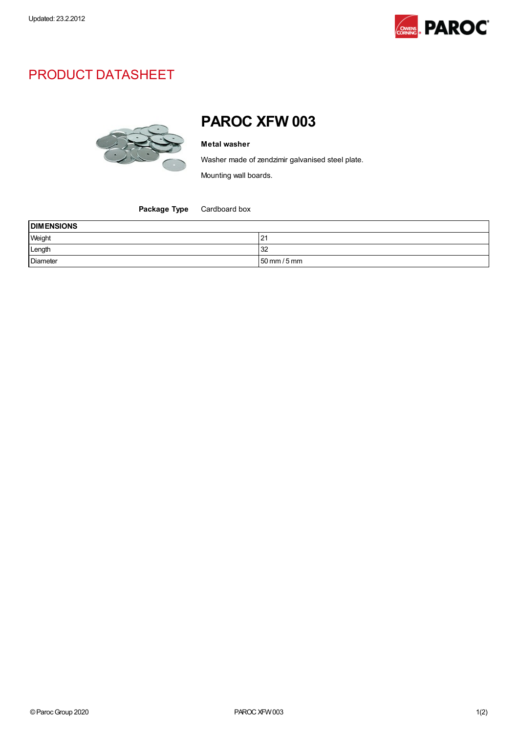

## PRODUCT DATASHEET



## PAROC XFW 003

## Metal washer

Washer made of zendzimir galvanised steel plate.

Mounting wall boards.

Package Type Cardboard box

| <b>DIMENSIONS</b> |                                |
|-------------------|--------------------------------|
| Weight            | 121                            |
| Length            | 32                             |
| Diameter          | $50 \text{ mm} / 5 \text{ mm}$ |